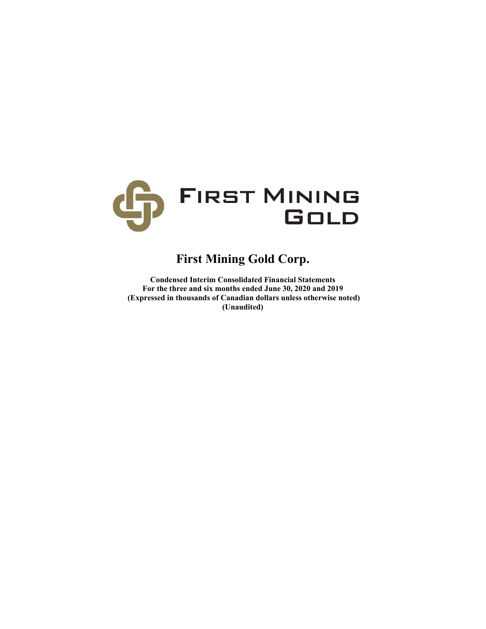

# **First Mining Gold Corp.**

**Condensed Interim Consolidated Financial Statements For the three and six months ended June 30, 2020 and 2019 (Expressed in thousands of Canadian dollars unless otherwise noted) (Unaudited)**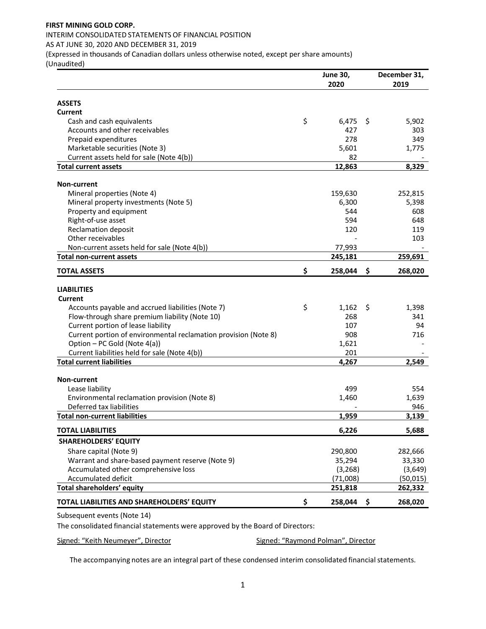# INTERIM CONSOLIDATED STATEMENTS OF FINANCIAL POSITION

AS AT JUNE 30, 2020 AND DECEMBER 31, 2019

(Expressed in thousands of Canadian dollars unless otherwise noted, except per share amounts)

(Unaudited)

|                                                                 | <b>June 30,</b><br>2020 |     | December 31,<br>2019 |
|-----------------------------------------------------------------|-------------------------|-----|----------------------|
|                                                                 |                         |     |                      |
| <b>ASSETS</b>                                                   |                         |     |                      |
| <b>Current</b>                                                  |                         |     |                      |
| Cash and cash equivalents                                       | \$<br>6,475<br>427      | \$  | 5,902<br>303         |
| Accounts and other receivables<br>Prepaid expenditures          | 278                     |     | 349                  |
| Marketable securities (Note 3)                                  | 5,601                   |     | 1,775                |
| Current assets held for sale (Note 4(b))                        | 82                      |     |                      |
| <b>Total current assets</b>                                     | 12,863                  |     | 8,329                |
|                                                                 |                         |     |                      |
| Non-current                                                     |                         |     |                      |
| Mineral properties (Note 4)                                     | 159,630                 |     | 252,815              |
| Mineral property investments (Note 5)                           | 6,300                   |     | 5,398                |
| Property and equipment                                          | 544                     |     | 608                  |
| Right-of-use asset                                              | 594                     |     | 648                  |
| <b>Reclamation deposit</b>                                      | 120                     |     | 119                  |
| Other receivables                                               |                         |     | 103                  |
| Non-current assets held for sale (Note 4(b))                    | 77,993                  |     |                      |
| <b>Total non-current assets</b>                                 | 245,181                 |     | 259,691              |
| <b>TOTAL ASSETS</b>                                             | \$<br>258,044           | \$  | 268,020              |
|                                                                 |                         |     |                      |
| <b>LIABILITIES</b>                                              |                         |     |                      |
| <b>Current</b>                                                  |                         |     |                      |
| Accounts payable and accrued liabilities (Note 7)               | \$<br>1,162             | \$. | 1,398                |
| Flow-through share premium liability (Note 10)                  | 268                     |     | 341                  |
| Current portion of lease liability                              | 107                     |     | 94                   |
| Current portion of environmental reclamation provision (Note 8) | 908                     |     | 716                  |
| Option - PC Gold (Note 4(a))                                    | 1,621                   |     |                      |
| Current liabilities held for sale (Note 4(b))                   | 201                     |     |                      |
| <b>Total current liabilities</b>                                | 4,267                   |     | 2,549                |
| Non-current                                                     |                         |     |                      |
| Lease liability                                                 | 499                     |     | 554                  |
| Environmental reclamation provision (Note 8)                    | 1,460                   |     | 1,639                |
| Deferred tax liabilities                                        |                         |     | 946                  |
| <b>Total non-current liabilities</b>                            | 1,959                   |     | 3,139                |
| <b>TOTAL LIABILITIES</b>                                        | 6,226                   |     | 5,688                |
| <b>SHAREHOLDERS' EQUITY</b>                                     |                         |     |                      |
| Share capital (Note 9)                                          | 290,800                 |     | 282,666              |
| Warrant and share-based payment reserve (Note 9)                | 35,294                  |     | 33,330               |
| Accumulated other comprehensive loss                            | (3, 268)                |     | (3,649)              |
| Accumulated deficit                                             | (71,008)                |     | (50, 015)            |
| Total shareholders' equity                                      | 251,818                 |     | 262,332              |
| TOTAL LIABILITIES AND SHAREHOLDERS' EQUITY                      | \$<br>258,044           | -\$ | 268,020              |

Subsequent events (Note 14)

The consolidated financial statements were approved by the Board of Directors:

Signed: "Keith Neumeyer", Director **Signed: "Raymond Polman"**, Director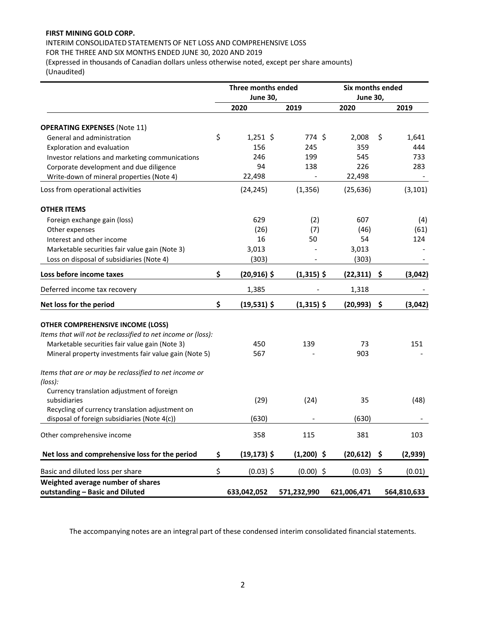# INTERIM CONSOLIDATED STATEMENTS OF NET LOSS AND COMPREHENSIVE LOSS FOR THE THREE AND SIX MONTHS ENDED JUNE 30, 2020 AND 2019

(Expressed in thousands of Canadian dollars unless otherwise noted, except per share amounts) (Unaudited)

|                                                                      | <b>Three months ended</b> |              | Six months ended |     |             |  |
|----------------------------------------------------------------------|---------------------------|--------------|------------------|-----|-------------|--|
|                                                                      | <b>June 30,</b>           |              | <b>June 30,</b>  |     |             |  |
|                                                                      | 2020                      | 2019         | 2020             |     | 2019        |  |
| <b>OPERATING EXPENSES (Note 11)</b>                                  |                           |              |                  |     |             |  |
| General and administration                                           | \$<br>$1,251$ \$          | 774 \$       | 2,008            | \$  | 1,641       |  |
| Exploration and evaluation                                           | 156                       | 245          | 359              |     | 444         |  |
| Investor relations and marketing communications                      | 246                       | 199          | 545              |     | 733         |  |
| Corporate development and due diligence                              | 94                        | 138          | 226              |     | 283         |  |
| Write-down of mineral properties (Note 4)                            | 22,498                    |              | 22,498           |     |             |  |
| Loss from operational activities                                     | (24, 245)                 | (1, 356)     | (25, 636)        |     | (3, 101)    |  |
| <b>OTHER ITEMS</b>                                                   |                           |              |                  |     |             |  |
| Foreign exchange gain (loss)                                         | 629                       | (2)          | 607              |     | (4)         |  |
| Other expenses                                                       | (26)                      | (7)          | (46)             |     | (61)        |  |
| Interest and other income                                            | 16                        | 50           | 54               |     | 124         |  |
| Marketable securities fair value gain (Note 3)                       | 3,013                     |              | 3,013            |     |             |  |
| Loss on disposal of subsidiaries (Note 4)                            | (303)                     |              | (303)            |     |             |  |
| Loss before income taxes                                             | \$<br>$(20,916)$ \$       | $(1,315)$ \$ | (22, 311)        | \$  | (3,042)     |  |
| Deferred income tax recovery                                         | 1,385                     |              | 1,318            |     |             |  |
| Net loss for the period                                              | \$<br>$(19,531)$ \$       | $(1,315)$ \$ | (20, 993)        | \$  | (3,042)     |  |
| <b>OTHER COMPREHENSIVE INCOME (LOSS)</b>                             |                           |              |                  |     |             |  |
| Items that will not be reclassified to net income or (loss):         |                           |              |                  |     |             |  |
| Marketable securities fair value gain (Note 3)                       | 450                       | 139          | 73               |     | 151         |  |
| Mineral property investments fair value gain (Note 5)                | 567                       |              | 903              |     |             |  |
| Items that are or may be reclassified to net income or               |                           |              |                  |     |             |  |
| (loss):                                                              |                           |              |                  |     |             |  |
| Currency translation adjustment of foreign                           |                           |              |                  |     |             |  |
| subsidiaries                                                         | (29)                      | (24)         | 35               |     | (48)        |  |
| Recycling of currency translation adjustment on                      |                           |              |                  |     |             |  |
| disposal of foreign subsidiaries (Note 4(c))                         | (630)                     |              | (630)            |     |             |  |
| Other comprehensive income                                           | 358                       | 115          | 381              |     | 103         |  |
| Net loss and comprehensive loss for the period                       | \$<br>$(19, 173)$ \$      | $(1,200)$ \$ | (20, 612)        | \$. | (2,939)     |  |
| Basic and diluted loss per share                                     | \$<br>$(0.03)$ \$         | $(0.00)$ \$  | (0.03)           | \$  | (0.01)      |  |
| Weighted average number of shares<br>outstanding - Basic and Diluted | 633,042,052               | 571,232,990  | 621,006,471      |     | 564,810,633 |  |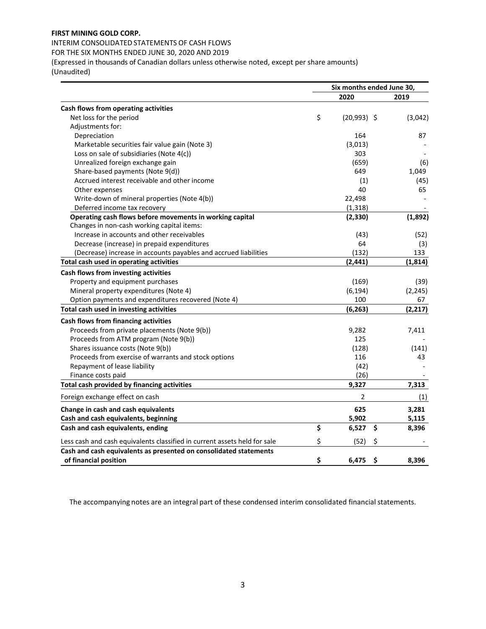# INTERIM CONSOLIDATED STATEMENTS OF CASH FLOWS

FOR THE SIX MONTHS ENDED JUNE 30, 2020 AND 2019

(Expressed in thousands of Canadian dollars unless otherwise noted, except per share amounts) (Unaudited)

|                                                                           | Six months ended June 30, |               |          |  |  |
|---------------------------------------------------------------------------|---------------------------|---------------|----------|--|--|
|                                                                           |                           | 2020          | 2019     |  |  |
| Cash flows from operating activities                                      |                           |               |          |  |  |
| Net loss for the period                                                   | \$                        | $(20,993)$ \$ | (3,042)  |  |  |
| Adjustments for:                                                          |                           |               |          |  |  |
| Depreciation                                                              |                           | 164           | 87       |  |  |
| Marketable securities fair value gain (Note 3)                            |                           | (3,013)       |          |  |  |
| Loss on sale of subsidiaries (Note 4(c))                                  |                           | 303           |          |  |  |
| Unrealized foreign exchange gain                                          |                           | (659)         | (6)      |  |  |
| Share-based payments (Note 9(d))                                          |                           | 649           | 1,049    |  |  |
| Accrued interest receivable and other income                              |                           | (1)           | (45)     |  |  |
| Other expenses                                                            |                           | 40            | 65       |  |  |
| Write-down of mineral properties (Note 4(b))                              |                           | 22,498        |          |  |  |
| Deferred income tax recovery                                              |                           | (1, 318)      |          |  |  |
| Operating cash flows before movements in working capital                  |                           | (2, 330)      | (1,892)  |  |  |
| Changes in non-cash working capital items:                                |                           |               |          |  |  |
| Increase in accounts and other receivables                                |                           | (43)          | (52)     |  |  |
| Decrease (increase) in prepaid expenditures                               |                           | 64            | (3)      |  |  |
| (Decrease) increase in accounts payables and accrued liabilities          |                           | (132)         | 133      |  |  |
| Total cash used in operating activities                                   |                           | (2, 441)      | (1,814)  |  |  |
| Cash flows from investing activities                                      |                           |               |          |  |  |
| Property and equipment purchases                                          |                           | (169)         | (39)     |  |  |
| Mineral property expenditures (Note 4)                                    |                           | (6, 194)      | (2, 245) |  |  |
| Option payments and expenditures recovered (Note 4)                       |                           | 100           | 67       |  |  |
| Total cash used in investing activities                                   |                           | (6, 263)      | (2, 217) |  |  |
| Cash flows from financing activities                                      |                           |               |          |  |  |
| Proceeds from private placements (Note 9(b))                              |                           | 9,282         | 7,411    |  |  |
| Proceeds from ATM program (Note 9(b))                                     |                           | 125           |          |  |  |
| Shares issuance costs (Note 9(b))                                         |                           | (128)         | (141)    |  |  |
| Proceeds from exercise of warrants and stock options                      |                           | 116           | 43       |  |  |
| Repayment of lease liability                                              |                           | (42)          |          |  |  |
| Finance costs paid                                                        |                           | (26)          |          |  |  |
| Total cash provided by financing activities                               |                           | 9,327         | 7,313    |  |  |
| Foreign exchange effect on cash                                           |                           | 2             | (1)      |  |  |
| Change in cash and cash equivalents                                       |                           | 625           | 3,281    |  |  |
| Cash and cash equivalents, beginning                                      |                           | 5,902         | 5,115    |  |  |
| Cash and cash equivalents, ending                                         | \$                        | \$<br>6,527   | 8,396    |  |  |
| Less cash and cash equivalents classified in current assets held for sale | \$                        | \$<br>(52)    |          |  |  |
| Cash and cash equivalents as presented on consolidated statements         |                           |               |          |  |  |
| of financial position                                                     | \$                        | \$<br>6,475   | 8,396    |  |  |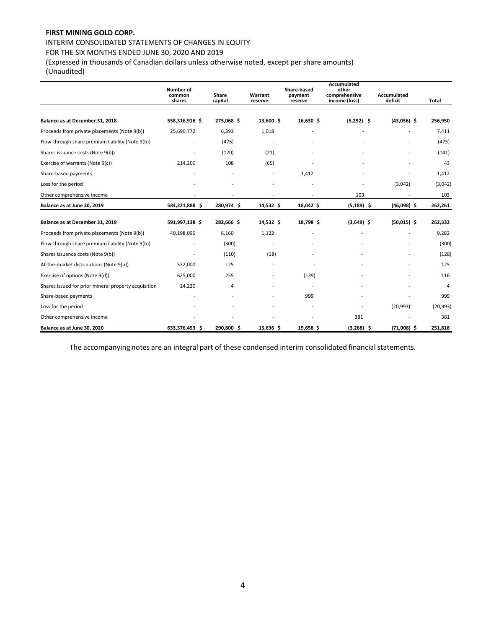# INTERIM CONSOLIDATED STATEMENTS OF CHANGES IN EQUITY

# FOR THE SIX MONTHS ENDED JUNE 30, 2020 AND 2019

(Expressed in thousands of Canadian dollars unless otherwise noted, except per share amounts)

(Unaudited)

|                                                      | Number of<br>common | Share      | Warrant     | Share-based<br>payment | Accumulated<br>other<br>comprehensive | Accumulated   |              |
|------------------------------------------------------|---------------------|------------|-------------|------------------------|---------------------------------------|---------------|--------------|
|                                                      | shares              | capital    | reserve     | reserve                | income (loss)                         | deficit       | <b>Total</b> |
|                                                      |                     |            |             |                        |                                       |               |              |
| Balance as at December 31, 2018                      | 558,316,916 \$      | 275,068 \$ | 13,600 \$   | 16,630 \$              | $(5,292)$ \$                          | $(43,056)$ \$ | 256,950      |
| Proceeds from private placements (Note 9(b))         | 25,690,772          | 6,393      | 1,018       |                        |                                       |               | 7,411        |
| Flow-through share premium liability (Note 9(b))     |                     | (475)      |             |                        |                                       |               | (475)        |
| Shares issuance costs (Note 9(b))                    |                     | (120)      | (21)        |                        |                                       |               | (141)        |
| Exercise of warrants (Note 9(c))                     | 214,200             | 108        | (65)        |                        |                                       |               | 43           |
| Share-based payments                                 |                     |            |             | 1,412                  |                                       |               | 1,412        |
| Loss for the period                                  |                     |            | ÷,          |                        |                                       | (3,042)       | (3,042)      |
| Other comprehensive income                           |                     |            |             |                        | 103                                   |               | 103          |
| Balance as at June 30, 2019                          | 584,221,888 \$      | 280,974 \$ | $14,532$ \$ | 18,042 \$              | $(5, 189)$ \$                         | $(46,098)$ \$ | 262,261      |
| Balance as at December 31, 2019                      | 591,997,138 \$      | 282,666 \$ | 14,532 \$   | 18,798 \$              | $(3,649)$ \$                          | $(50,015)$ \$ | 262,332      |
| Proceeds from private placements (Note 9(b))         | 40,198,095          | 8,160      | 1,122       |                        |                                       |               | 9,282        |
| Flow-through share premium liability (Note 9(b))     |                     | (300)      | ÷,          |                        |                                       |               | (300)        |
| Shares issuance costs (Note 9(b))                    |                     | (110)      | (18)        |                        |                                       |               | (128)        |
| At-the-market distributions (Note 9(b))              | 532,000             | 125        |             |                        |                                       |               | 125          |
| Exercise of options (Note 9(d))                      | 625,000             | 255        |             | (139)                  |                                       |               | 116          |
| Shares issued for prior mineral property acquisition | 24,220              | 4          |             |                        |                                       |               | 4            |
| Share-based payments                                 |                     |            |             | 999                    |                                       |               | 999          |
| Loss for the period                                  |                     |            |             |                        |                                       | (20, 993)     | (20, 993)    |
| Other comprehensive income                           |                     |            |             |                        | 381                                   |               | 381          |
| Balance as at June 30, 2020                          | 633,376,453 \$      | 290,800 \$ | 15,636 \$   | 19,658 \$              | $(3,268)$ \$                          | $(71,008)$ \$ | 251,818      |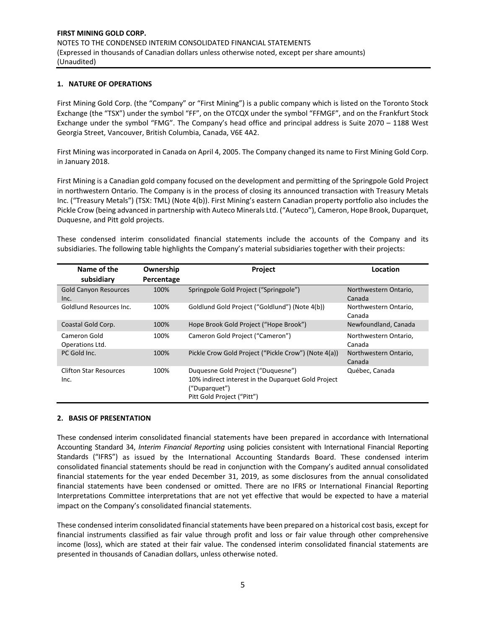#### **1. NATURE OF OPERATIONS**

First Mining Gold Corp. (the "Company" or "First Mining") is a public company which is listed on the Toronto Stock Exchange (the "TSX") under the symbol "FF", on the OTCQX under the symbol "FFMGF", and on the Frankfurt Stock Exchange under the symbol "FMG". The Company's head office and principal address is Suite 2070 – 1188 West Georgia Street, Vancouver, British Columbia, Canada, V6E 4A2.

First Mining was incorporated in Canada on April 4, 2005. The Company changed its name to First Mining Gold Corp. in January 2018.

First Mining is a Canadian gold company focused on the development and permitting of the Springpole Gold Project in northwestern Ontario. The Company is in the process of closing its announced transaction with Treasury Metals Inc. ("Treasury Metals") (TSX: TML) (Note 4(b)). First Mining's eastern Canadian property portfolio also includes the Pickle Crow (being advanced in partnership with Auteco Minerals Ltd. ("Auteco"), Cameron, Hope Brook, Duparquet, Duquesne, and Pitt gold projects.

These condensed interim consolidated financial statements include the accounts of the Company and its subsidiaries. The following table highlights the Company's material subsidiaries together with their projects:

| Name of the<br>subsidiary             | Ownership<br>Percentage | Project                                                                                                                                  | Location                        |
|---------------------------------------|-------------------------|------------------------------------------------------------------------------------------------------------------------------------------|---------------------------------|
| <b>Gold Canyon Resources</b><br>Inc.  | 100%                    | Springpole Gold Project ("Springpole")                                                                                                   | Northwestern Ontario,<br>Canada |
| Goldlund Resources Inc.               | 100%                    | Goldlund Gold Project ("Goldlund") (Note 4(b))                                                                                           | Northwestern Ontario,<br>Canada |
| Coastal Gold Corp.                    | 100%                    | Hope Brook Gold Project ("Hope Brook")                                                                                                   | Newfoundland, Canada            |
| Cameron Gold<br>Operations Ltd.       | 100%                    | Cameron Gold Project ("Cameron")                                                                                                         | Northwestern Ontario,<br>Canada |
| PC Gold Inc.                          | 100%                    | Pickle Crow Gold Project ("Pickle Crow") (Note 4(a))                                                                                     | Northwestern Ontario,<br>Canada |
| <b>Clifton Star Resources</b><br>Inc. | 100%                    | Duquesne Gold Project ("Duquesne")<br>10% indirect interest in the Duparquet Gold Project<br>("Duparquet")<br>Pitt Gold Project ("Pitt") | Québec, Canada                  |

#### **2. BASIS OF PRESENTATION**

These condensed interim consolidated financial statements have been prepared in accordance with International Accounting Standard 34, *Interim Financial Reporting* using policies consistent with International Financial Reporting Standards ("IFRS") as issued by the International Accounting Standards Board. These condensed interim consolidated financial statements should be read in conjunction with the Company's audited annual consolidated financial statements for the year ended December 31, 2019, as some disclosures from the annual consolidated financial statements have been condensed or omitted. There are no IFRS or International Financial Reporting Interpretations Committee interpretations that are not yet effective that would be expected to have a material impact on the Company's consolidated financial statements.

These condensed interim consolidated financial statements have been prepared on a historical cost basis, except for financial instruments classified as fair value through profit and loss or fair value through other comprehensive income (loss), which are stated at their fair value. The condensed interim consolidated financial statements are presented in thousands of Canadian dollars, unless otherwise noted.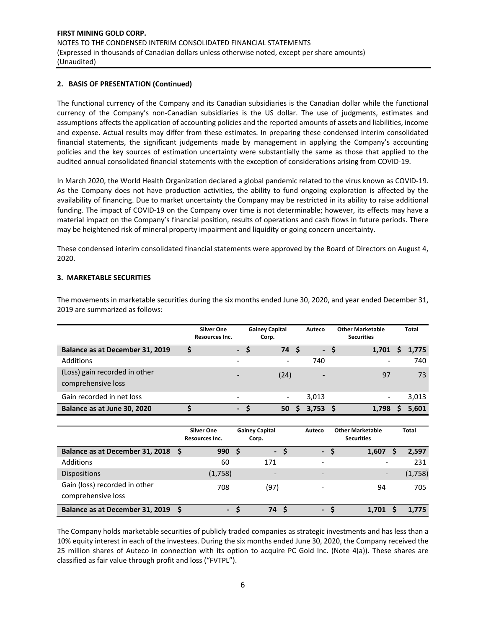#### **2. BASIS OF PRESENTATION (Continued)**

The functional currency of the Company and its Canadian subsidiaries is the Canadian dollar while the functional currency of the Company's non‐Canadian subsidiaries is the US dollar. The use of judgments, estimates and assumptions affects the application of accounting policies and the reported amounts of assets and liabilities, income and expense. Actual results may differ from these estimates. In preparing these condensed interim consolidated financial statements, the significant judgements made by management in applying the Company's accounting policies and the key sources of estimation uncertainty were substantially the same as those that applied to the audited annual consolidated financial statements with the exception of considerations arising from COVID‐19.

In March 2020, the World Health Organization declared a global pandemic related to the virus known as COVID‐19. As the Company does not have production activities, the ability to fund ongoing exploration is affected by the availability of financing. Due to market uncertainty the Company may be restricted in its ability to raise additional funding. The impact of COVID-19 on the Company over time is not determinable; however, its effects may have a material impact on the Company's financial position, results of operations and cash flows in future periods. There may be heightened risk of mineral property impairment and liquidity or going concern uncertainty.

These condensed interim consolidated financial statements were approved by the Board of Directors on August 4, 2020.

#### **3. MARKETABLE SECURITIES**

The movements in marketable securities during the six months ended June 30, 2020, and year ended December 31, 2019 are summarized as follows:

|                                                     | <b>Silver One</b><br><b>Resources Inc.</b> |      | <b>Gainey Capital</b><br>Corp. |    | Auteco                      | <b>Other Marketable</b><br><b>Securities</b> | <b>Total</b> |
|-----------------------------------------------------|--------------------------------------------|------|--------------------------------|----|-----------------------------|----------------------------------------------|--------------|
| Balance as at December 31, 2019                     | \$                                         | - \$ | 74                             | -S | $\mathcal{L}^{\mathcal{A}}$ | 1,701                                        | 1,775        |
| Additions                                           | $\overline{\phantom{a}}$                   |      | $\overline{\phantom{a}}$       |    | 740                         | $\overline{\phantom{0}}$                     | 740          |
| (Loss) gain recorded in other<br>comprehensive loss | $\overline{\phantom{a}}$                   |      | (24)                           |    |                             | 97                                           | 73           |
| Gain recorded in net loss                           | $\overline{\phantom{a}}$                   |      | $\overline{\phantom{a}}$       |    | 3.013                       | -                                            | 3,013        |
| Balance as at June 30, 2020                         | $\blacksquare$                             |      | 50                             |    | 3.753                       | 1.798                                        | 5.601        |

|                                 | <b>Silver One</b><br><b>Resources Inc.</b> | <b>Gainey Capital</b><br>Corp. | Auteco                   | <b>Other Marketable</b><br><b>Securities</b> |         |
|---------------------------------|--------------------------------------------|--------------------------------|--------------------------|----------------------------------------------|---------|
| Balance as at December 31, 2018 | 990<br>-S                                  | $\sim$<br>S                    | $\blacksquare$           | 1,607                                        | 2,597   |
| <b>Additions</b>                | 60                                         | 171                            | $\overline{\phantom{a}}$ |                                              | 231     |
| <b>Dispositions</b>             | (1,758)                                    | $\overline{\phantom{0}}$       | -                        | -                                            | (1,758) |
| Gain (loss) recorded in other   | 708                                        | (97)                           |                          | 94                                           | 705     |
| comprehensive loss              |                                            |                                |                          |                                              |         |
| Balance as at December 31, 2019 | - S<br>$\blacksquare$                      | 74                             | - S<br>ъ.                | 1.701                                        | 1.775   |

The Company holds marketable securities of publicly traded companies as strategic investments and has less than a 10% equity interest in each of the investees. During the six months ended June 30, 2020, the Company received the 25 million shares of Auteco in connection with its option to acquire PC Gold Inc. (Note 4(a)). These shares are classified as fair value through profit and loss ("FVTPL").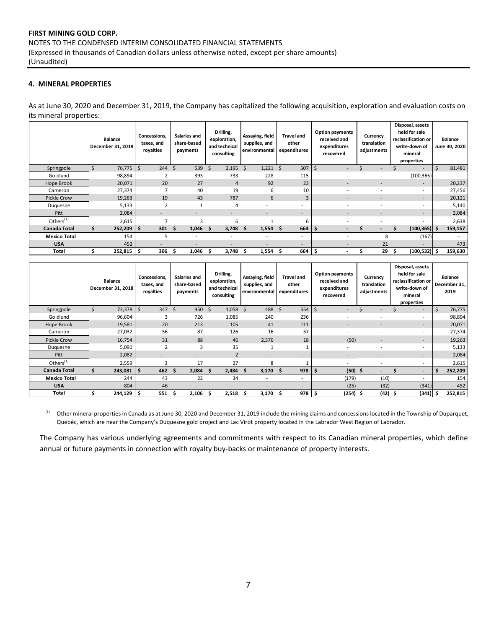# **4. MINERAL PROPERTIES**

As at June 30, 2020 and December 31, 2019, the Company has capitalized the following acquisition, exploration and evaluation costs on its mineral properties:

|                     | <b>Balance</b><br>December 31, 2019 | Concessions.<br>taxes, and<br>royalties | Salaries and<br>share-based<br>payments | Drilling,<br>exploration,<br>and technical<br>consulting | Assaying, field<br>supplies, and<br>environmental | <b>Travel and</b><br>other<br>expenditures | <b>Option payments</b><br>received and<br>expenditures<br>recovered | Currency<br>translation<br>adjustments | Disposal, assets<br>held for sale<br>reclassification or<br>write-down of<br>mineral<br>properties |             | Balance<br>June 30, 2020 |
|---------------------|-------------------------------------|-----------------------------------------|-----------------------------------------|----------------------------------------------------------|---------------------------------------------------|--------------------------------------------|---------------------------------------------------------------------|----------------------------------------|----------------------------------------------------------------------------------------------------|-------------|--------------------------|
| Springpole          | \$<br>76,775                        | \$                                      | $244 \quad $5$<br>539                   | 2,195<br>Ŝ.                                              | - \$<br>1,221                                     | 507<br>Ŝ.                                  | \$<br>÷.                                                            | $\sim$                                 | $\overline{\phantom{a}}$                                                                           | $\varsigma$ | 81,481                   |
| Goldlund            | 98,894                              |                                         | 393                                     | 733                                                      | 228                                               | 115                                        |                                                                     |                                        | (100, 365)                                                                                         |             |                          |
| Hope Brook          | 20,071                              | 20                                      | 27                                      | $\overline{4}$                                           | 92                                                | 23                                         | $\sim$                                                              | $\overline{\phantom{a}}$               | $\overline{\phantom{a}}$                                                                           |             | 20,237                   |
| Cameron             | 27,374                              |                                         | 40                                      | 19                                                       | 6                                                 | 10                                         | $\sim$                                                              |                                        | $\overline{\phantom{a}}$                                                                           |             | 27,456                   |
| Pickle Crow         | 19,263                              | 19                                      | 43                                      | 787                                                      | 6                                                 | 3                                          | $\sim$                                                              | $\overline{\phantom{a}}$               | $\overline{\phantom{a}}$                                                                           |             | 20,121                   |
| Duquesne            | 5,133                               | $\overline{\phantom{a}}$                |                                         | 4                                                        | $\overline{\phantom{a}}$                          | $\overline{\phantom{a}}$                   |                                                                     |                                        | $\overline{\phantom{a}}$                                                                           |             | 5,140                    |
| Pitt                | 2,084                               | $\overline{\phantom{a}}$                | $\overline{\phantom{a}}$                | $\overline{\phantom{a}}$                                 | $\overline{\phantom{a}}$                          | $\sim$                                     | $\sim$                                                              | $\overline{\phantom{a}}$               | $\overline{\phantom{a}}$                                                                           |             | 2,084                    |
| Others $(1)$        | 2,615                               |                                         |                                         | 6                                                        |                                                   | 6                                          |                                                                     |                                        | $\overline{\phantom{a}}$                                                                           |             | 2,638                    |
| <b>Canada Total</b> | 252,209<br>s                        | 301<br>\$                               | 1,046<br>ь                              | 3,748<br>s                                               | 1,554<br>s                                        | 664<br>s                                   | \$.<br>$\overline{\phantom{0}}$                                     |                                        | $(100, 365)$ \$                                                                                    |             | 159,157                  |
| <b>Mexico Total</b> | 154                                 |                                         | 5<br>$\overline{\phantom{a}}$           | $\overline{\phantom{a}}$                                 | $\overline{\phantom{a}}$                          | $\overline{\phantom{a}}$                   |                                                                     | 8                                      | (167)                                                                                              |             | $\overline{\phantom{a}}$ |
| <b>USA</b>          | 452                                 |                                         | $\overline{\phantom{a}}$                | $\overline{\phantom{0}}$                                 |                                                   | $\overline{\phantom{0}}$                   | $\sim$                                                              | 21                                     | $\overline{\phantom{0}}$                                                                           |             | 473                      |
| <b>Total</b>        | \$<br>252,815                       | 306<br>-\$                              | 1,046<br>S                              | 3.748<br>5                                               | $1,554$ \$<br>s                                   | 664                                        | -\$<br>$\blacksquare$                                               | 29                                     | \$<br>$(100, 532)$ \$                                                                              |             | 159,630                  |

|                       | <b>Balance</b><br>December 31, 2018 | Concessions.<br>taxes, and<br>royalties | Salaries and<br>share-based<br>payments | Drilling,<br>exploration,<br>and technical<br>consulting | Assaying, field<br>supplies, and<br>environmental | <b>Travel and</b><br>other<br>expenditures | <b>Option payments</b><br>received and<br>expenditures<br>recovered | Currency<br>translation<br>adjustments | Disposal, assets<br>held for sale<br>reclassification or<br>write-down of<br>mineral<br>properties |   | <b>Balance</b><br>December 31,<br>2019 |
|-----------------------|-------------------------------------|-----------------------------------------|-----------------------------------------|----------------------------------------------------------|---------------------------------------------------|--------------------------------------------|---------------------------------------------------------------------|----------------------------------------|----------------------------------------------------------------------------------------------------|---|----------------------------------------|
| Springpole            | \$<br>73,378                        | 347<br>Ś                                | 950<br>Ŝ.                               | -Ś<br>1,058                                              | 488<br><sub>S</sub>                               | 554<br>Ŝ.                                  | $\zeta$<br>$\overline{\phantom{a}}$                                 | $\overline{\phantom{a}}$               | $\overline{\phantom{a}}$                                                                           | Ś | 76,775                                 |
| Goldlund              | 96,604                              | 3                                       | 726                                     | 1,085                                                    | 240                                               | 236                                        | ۰                                                                   |                                        | $\overline{\phantom{a}}$                                                                           |   | 98,894                                 |
| Hope Brook            | 19,581                              | 20                                      | 213                                     | 105                                                      | 41                                                | 111                                        | $\overline{\phantom{a}}$                                            | $\overline{\phantom{a}}$               | $\overline{\phantom{a}}$                                                                           |   | 20,071                                 |
| Cameron               | 27,032                              | 56                                      | 87                                      | 126                                                      | 16                                                | 57                                         | ٠                                                                   | $\overline{\phantom{a}}$               | $\overline{\phantom{a}}$                                                                           |   | 27,374                                 |
| <b>Pickle Crow</b>    | 16,754                              | 31                                      | 88                                      | 46                                                       | 2,376                                             | 18                                         | (50)                                                                | $\overline{\phantom{a}}$               | $\sim$                                                                                             |   | 19,263                                 |
| Duquesne              | 5,091                               | $\mathfrak{p}$                          | 3                                       | 35                                                       |                                                   |                                            | ۰                                                                   |                                        | $\overline{\phantom{a}}$                                                                           |   | 5,133                                  |
| Pitt                  | 2,082                               | $\overline{\phantom{0}}$                | $\overline{\phantom{0}}$                | $\overline{2}$                                           | -                                                 | ۰                                          | ۰                                                                   |                                        | $\overline{\phantom{a}}$                                                                           |   | 2,084                                  |
| Others <sup>(1)</sup> | 2,559                               | 3                                       | 17                                      | 27                                                       | 8                                                 |                                            | ٠                                                                   | $\overline{\phantom{a}}$               | $\overline{\phantom{a}}$                                                                           |   | 2,615                                  |
| <b>Canada Total</b>   | Ś.<br>243,081                       | 462<br>-\$                              | 2,084<br>-S                             | 2,484<br><b>S</b>                                        | 3,170<br>Ŝ                                        | 978<br><b>S</b>                            | $(50)$ \$<br>l \$                                                   | $\overline{\phantom{0}}$               | $\overline{\phantom{a}}$                                                                           | Ŝ | 252,209                                |
| <b>Mexico Total</b>   | 244                                 | 43                                      | 22                                      | 34                                                       | $\overline{a}$                                    | ٠                                          | (179)                                                               | (10)                                   | $\overline{\phantom{a}}$                                                                           |   | 154                                    |
| <b>USA</b>            | 804                                 | 46                                      | $\overline{\phantom{0}}$                | -                                                        | -                                                 | ۰.                                         | (25)                                                                | (32)                                   | (341)                                                                                              |   | 452                                    |
| Total                 | Ś<br>$244,129$ \$                   | 551                                     | 2,106<br>.S                             | 2,518<br>s                                               | 3,170<br>s                                        | $978 \mid$ \$<br>-S                        | $(254)$ \$                                                          | $(42)$ \$                              | $(341)$ \$                                                                                         |   | 252,815                                |

<sup>(1)</sup> Other mineral properties in Canada as at June 30, 2020 and December 31, 2019 include the mining claims and concessions located in the Township of Duparquet, Quebéc, which are near the Company's Duquesne gold project and Lac Virot property located in the Labrador West Region of Labrador.

The Company has various underlying agreements and commitments with respect to its Canadian mineral properties, which define annual or future payments in connection with royalty buy-backs or maintenance of property interests.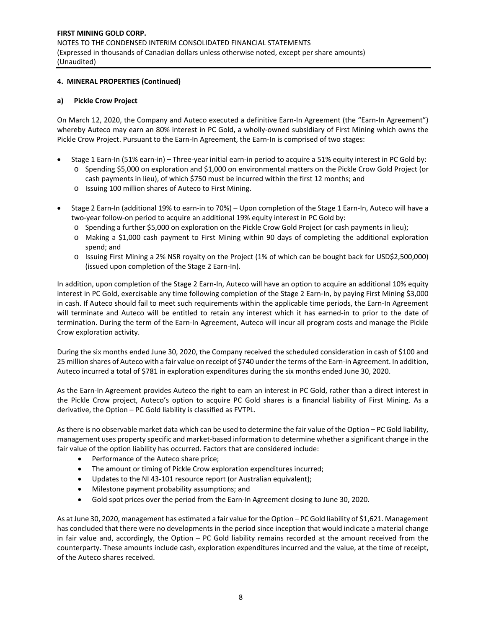# **4. MINERAL PROPERTIES (Continued)**

# **a) Pickle Crow Project**

On March 12, 2020, the Company and Auteco executed a definitive Earn-In Agreement (the "Earn-In Agreement") whereby Auteco may earn an 80% interest in PC Gold, a wholly-owned subsidiary of First Mining which owns the Pickle Crow Project. Pursuant to the Earn‐In Agreement, the Earn‐In is comprised of two stages:

- Stage 1 Earn-In (51% earn-in) Three-year initial earn-in period to acquire a 51% equity interest in PC Gold by: o Spending \$5,000 on exploration and \$1,000 on environmental matters on the Pickle Crow Gold Project (or
	- cash payments in lieu), of which \$750 must be incurred within the first 12 months; and
	- o Issuing 100 million shares of Auteco to First Mining.
- Stage 2 Earn‐In (additional 19% to earn‐in to 70%) Upon completion of the Stage 1 Earn‐In, Auteco will have a two‐year follow‐on period to acquire an additional 19% equity interest in PC Gold by:
	- o Spending a further \$5,000 on exploration on the Pickle Crow Gold Project (or cash payments in lieu);
	- o Making a \$1,000 cash payment to First Mining within 90 days of completing the additional exploration spend; and
	- o Issuing First Mining a 2% NSR royalty on the Project (1% of which can be bought back for USD\$2,500,000) (issued upon completion of the Stage 2 Earn‐In).

In addition, upon completion of the Stage 2 Earn-In, Auteco will have an option to acquire an additional 10% equity interest in PC Gold, exercisable any time following completion of the Stage 2 Earn-In, by paying First Mining \$3,000 in cash. If Auteco should fail to meet such requirements within the applicable time periods, the Earn-In Agreement will terminate and Auteco will be entitled to retain any interest which it has earned-in to prior to the date of termination. During the term of the Earn-In Agreement, Auteco will incur all program costs and manage the Pickle Crow exploration activity.

During the six months ended June 30, 2020, the Company received the scheduled consideration in cash of \$100 and 25 million shares of Auteco with a fair value on receipt of \$740 under the terms of the Earn-in Agreement. In addition, Auteco incurred a total of \$781 in exploration expenditures during the six months ended June 30, 2020.

As the Earn‐In Agreement provides Auteco the right to earn an interest in PC Gold, rather than a direct interest in the Pickle Crow project, Auteco's option to acquire PC Gold shares is a financial liability of First Mining. As a derivative, the Option – PC Gold liability is classified as FVTPL.

As there is no observable market data which can be used to determine the fair value of the Option – PC Gold liability, management uses property specific and market‐based information to determine whether a significant change in the fair value of the option liability has occurred. Factors that are considered include:

- Performance of the Auteco share price;
- The amount or timing of Pickle Crow exploration expenditures incurred;
- Updates to the NI 43-101 resource report (or Australian equivalent);
- Milestone payment probability assumptions; and
- Gold spot prices over the period from the Earn-In Agreement closing to June 30, 2020.

As at June 30, 2020, management has estimated a fair value for the Option – PC Gold liability of \$1,621. Management has concluded that there were no developments in the period since inception that would indicate a material change in fair value and, accordingly, the Option – PC Gold liability remains recorded at the amount received from the counterparty. These amounts include cash, exploration expenditures incurred and the value, at the time of receipt, of the Auteco shares received.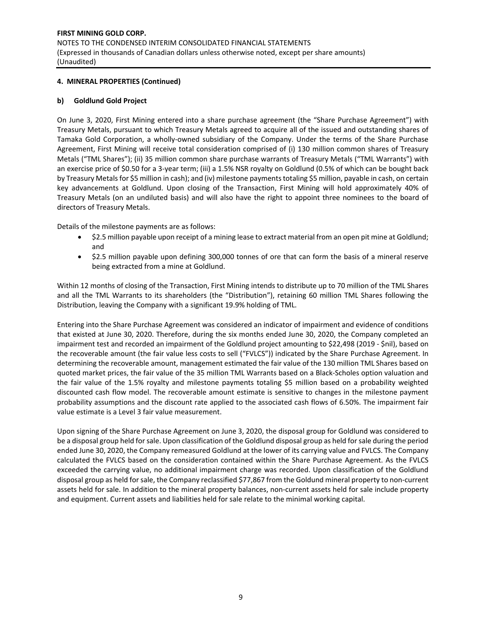# **4. MINERAL PROPERTIES (Continued)**

#### **b) Goldlund Gold Project**

On June 3, 2020, First Mining entered into a share purchase agreement (the "Share Purchase Agreement") with Treasury Metals, pursuant to which Treasury Metals agreed to acquire all of the issued and outstanding shares of Tamaka Gold Corporation, a wholly-owned subsidiary of the Company. Under the terms of the Share Purchase Agreement, First Mining will receive total consideration comprised of (i) 130 million common shares of Treasury Metals ("TML Shares"); (ii) 35 million common share purchase warrants of Treasury Metals ("TML Warrants") with an exercise price of \$0.50 for a 3‐year term; (iii) a 1.5% NSR royalty on Goldlund (0.5% of which can be bought back by Treasury Metals for \$5 million in cash); and (iv) milestone payments totaling \$5 million, payable in cash, on certain key advancements at Goldlund. Upon closing of the Transaction, First Mining will hold approximately 40% of Treasury Metals (on an undiluted basis) and will also have the right to appoint three nominees to the board of directors of Treasury Metals.

Details of the milestone payments are as follows:

- \$2.5 million payable upon receipt of a mining lease to extract material from an open pit mine at Goldlund; and
- \$2.5 million payable upon defining 300,000 tonnes of ore that can form the basis of a mineral reserve being extracted from a mine at Goldlund.

Within 12 months of closing of the Transaction, First Mining intends to distribute up to 70 million of the TML Shares and all the TML Warrants to its shareholders (the "Distribution"), retaining 60 million TML Shares following the Distribution, leaving the Company with a significant 19.9% holding of TML.

Entering into the Share Purchase Agreement was considered an indicator of impairment and evidence of conditions that existed at June 30, 2020. Therefore, during the six months ended June 30, 2020, the Company completed an impairment test and recorded an impairment of the Goldlund project amounting to \$22,498 (2019 ‐ \$nil), based on the recoverable amount (the fair value less costs to sell ("FVLCS")) indicated by the Share Purchase Agreement. In determining the recoverable amount, management estimated the fair value of the 130 million TML Shares based on quoted market prices, the fair value of the 35 million TML Warrants based on a Black‐Scholes option valuation and the fair value of the 1.5% royalty and milestone payments totaling \$5 million based on a probability weighted discounted cash flow model. The recoverable amount estimate is sensitive to changes in the milestone payment probability assumptions and the discount rate applied to the associated cash flows of 6.50%. The impairment fair value estimate is a Level 3 fair value measurement.

Upon signing of the Share Purchase Agreement on June 3, 2020, the disposal group for Goldlund was considered to be a disposal group held for sale. Upon classification of the Goldlund disposal group as held for sale during the period ended June 30, 2020, the Company remeasured Goldlund at the lower of its carrying value and FVLCS. The Company calculated the FVLCS based on the consideration contained within the Share Purchase Agreement. As the FVLCS exceeded the carrying value, no additional impairment charge was recorded. Upon classification of the Goldlund disposal group as held for sale, the Company reclassified \$77,867 from the Goldund mineral property to non‐current assets held for sale. In addition to the mineral property balances, non-current assets held for sale include property and equipment. Current assets and liabilities held for sale relate to the minimal working capital.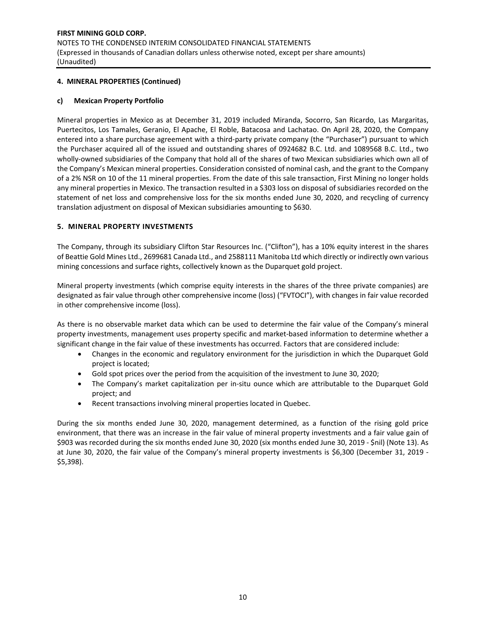#### **4. MINERAL PROPERTIES (Continued)**

#### **c) Mexican Property Portfolio**

Mineral properties in Mexico as at December 31, 2019 included Miranda, Socorro, San Ricardo, Las Margaritas, Puertecitos, Los Tamales, Geranio, El Apache, El Roble, Batacosa and Lachatao. On April 28, 2020, the Company entered into a share purchase agreement with a third-party private company (the "Purchaser") pursuant to which the Purchaser acquired all of the issued and outstanding shares of 0924682 B.C. Ltd. and 1089568 B.C. Ltd., two wholly-owned subsidiaries of the Company that hold all of the shares of two Mexican subsidiaries which own all of the Company's Mexican mineral properties. Consideration consisted of nominal cash, and the grant to the Company of a 2% NSR on 10 of the 11 mineral properties. From the date of this sale transaction, First Mining no longer holds any mineral properties in Mexico. The transaction resulted in a \$303 loss on disposal of subsidiaries recorded on the statement of net loss and comprehensive loss for the six months ended June 30, 2020, and recycling of currency translation adjustment on disposal of Mexican subsidiaries amounting to \$630.

#### **5. MINERAL PROPERTY INVESTMENTS**

The Company, through its subsidiary Clifton Star Resources Inc. ("Clifton"), has a 10% equity interest in the shares of Beattie Gold Mines Ltd., 2699681 Canada Ltd., and 2588111 Manitoba Ltd which directly or indirectly own various mining concessions and surface rights, collectively known as the Duparquet gold project.

Mineral property investments (which comprise equity interests in the shares of the three private companies) are designated as fair value through other comprehensive income (loss) ("FVTOCI"), with changes in fair value recorded in other comprehensive income (loss).

As there is no observable market data which can be used to determine the fair value of the Company's mineral property investments, management uses property specific and market-based information to determine whether a significant change in the fair value of these investments has occurred. Factors that are considered include:

- Changes in the economic and regulatory environment for the jurisdiction in which the Duparquet Gold project is located;
- Gold spot prices over the period from the acquisition of the investment to June 30, 2020;
- The Company's market capitalization per in-situ ounce which are attributable to the Duparquet Gold project; and
- Recent transactions involving mineral properties located in Quebec.

During the six months ended June 30, 2020, management determined, as a function of the rising gold price environment, that there was an increase in the fair value of mineral property investments and a fair value gain of \$903 was recorded during the six months ended June 30, 2020 (six months ended June 30, 2019 ‐ \$nil) (Note 13). As at June 30, 2020, the fair value of the Company's mineral property investments is \$6,300 (December 31, 2019 -\$5,398).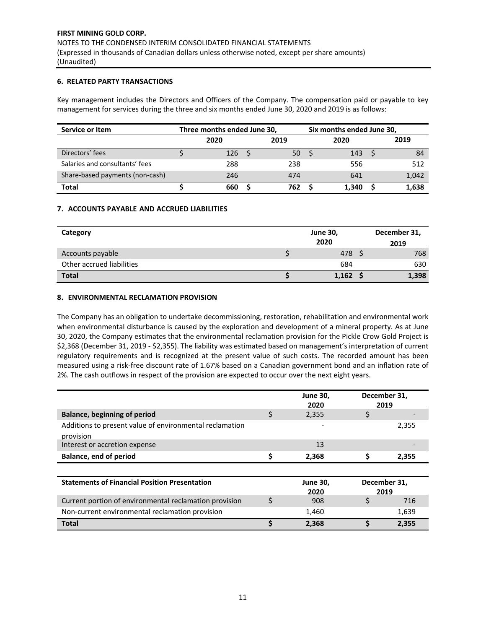#### **6. RELATED PARTY TRANSACTIONS**

Key management includes the Directors and Officers of the Company. The compensation paid or payable to key management for services during the three and six months ended June 30, 2020 and 2019 is as follows:

| Service or Item                 | Three months ended June 30, |  | Six months ended June 30, |  |       |  |       |
|---------------------------------|-----------------------------|--|---------------------------|--|-------|--|-------|
|                                 | 2020                        |  | 2019                      |  | 2020  |  | 2019  |
| Directors' fees                 | 126                         |  | 50                        |  | 143   |  | 84    |
| Salaries and consultants' fees  | 288                         |  | 238                       |  | 556   |  | 512   |
| Share-based payments (non-cash) | 246                         |  | 474                       |  | 641   |  | 1,042 |
| Total                           | 660                         |  | 762                       |  | 1.340 |  | 1,638 |

#### **7. ACCOUNTS PAYABLE AND ACCRUED LIABILITIES**

| Category                  |  | December 31, |       |
|---------------------------|--|--------------|-------|
|                           |  | 2020         | 2019  |
| Accounts payable          |  | 478 \$       | 768   |
| Other accrued liabilities |  | 684          | 630   |
| <b>Total</b>              |  | $1,162$ \$   | 1,398 |

#### **8. ENVIRONMENTAL RECLAMATION PROVISION**

The Company has an obligation to undertake decommissioning, restoration, rehabilitation and environmental work when environmental disturbance is caused by the exploration and development of a mineral property. As at June 30, 2020, the Company estimates that the environmental reclamation provision for the Pickle Crow Gold Project is \$2,368 (December 31, 2019 ‐ \$2,355). The liability was estimated based on management's interpretation of current regulatory requirements and is recognized at the present value of such costs. The recorded amount has been measured using a risk‐free discount rate of 1.67% based on a Canadian government bond and an inflation rate of 2%. The cash outflows in respect of the provision are expected to occur over the next eight years.

|                                                         |    | <b>June 30,</b> |             | December 31, |
|---------------------------------------------------------|----|-----------------|-------------|--------------|
|                                                         |    | 2020            |             | 2019         |
| <b>Balance, beginning of period</b>                     | \$ | 2,355           | \$          |              |
| Additions to present value of environmental reclamation |    |                 |             | 2,355        |
| provision                                               |    |                 |             |              |
| Interest or accretion expense                           |    | 13              |             |              |
| <b>Balance, end of period</b>                           | \$ | 2,368           | \$<br>2,355 |              |
|                                                         |    |                 |             |              |
| <b>Statements of Financial Position Presentation</b>    |    | <b>June 30,</b> |             | December 31, |
|                                                         |    | 2020            |             | 2019         |
| Current portion of environmental reclamation provision  | Ś  | 908             | \$          | 716          |
| Non-current environmental reclamation provision         |    | 1,460           |             | 1,639        |
| <b>Total</b>                                            | Ś  | 2,368           | S           | 2,355        |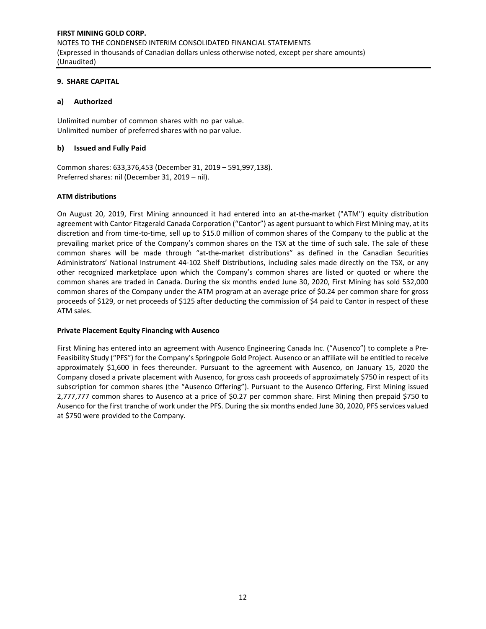#### **9. SHARE CAPITAL**

# **a) Authorized**

Unlimited number of common shares with no par value. Unlimited number of preferred shares with no par value.

#### **b) Issued and Fully Paid**

Common shares: 633,376,453 (December 31, 2019 – 591,997,138). Preferred shares: nil (December 31, 2019 – nil).

#### **ATM distributions**

On August 20, 2019, First Mining announced it had entered into an at-the-market ("ATM") equity distribution agreement with Cantor Fitzgerald Canada Corporation ("Cantor") as agent pursuant to which First Mining may, at its discretion and from time‐to‐time, sell up to \$15.0 million of common shares of the Company to the public at the prevailing market price of the Company's common shares on the TSX at the time of such sale. The sale of these common shares will be made through "at-the-market distributions" as defined in the Canadian Securities Administrators' National Instrument 44‐102 Shelf Distributions, including sales made directly on the TSX, or any other recognized marketplace upon which the Company's common shares are listed or quoted or where the common shares are traded in Canada. During the six months ended June 30, 2020, First Mining has sold 532,000 common shares of the Company under the ATM program at an average price of \$0.24 per common share for gross proceeds of \$129, or net proceeds of \$125 after deducting the commission of \$4 paid to Cantor in respect of these ATM sales.

# **Private Placement Equity Financing with Ausenco**

First Mining has entered into an agreement with Ausenco Engineering Canada Inc. ("Ausenco") to complete a Pre‐ Feasibility Study ("PFS") for the Company's Springpole Gold Project. Ausenco or an affiliate will be entitled to receive approximately \$1,600 in fees thereunder. Pursuant to the agreement with Ausenco, on January 15, 2020 the Company closed a private placement with Ausenco, for gross cash proceeds of approximately \$750 in respect of its subscription for common shares (the "Ausenco Offering"). Pursuant to the Ausenco Offering, First Mining issued 2,777,777 common shares to Ausenco at a price of \$0.27 per common share. First Mining then prepaid \$750 to Ausenco for the first tranche of work under the PFS. During the six months ended June 30, 2020, PFS services valued at \$750 were provided to the Company.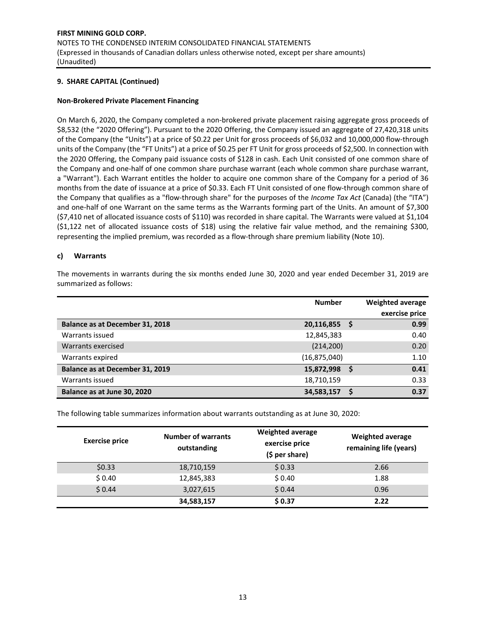#### **Non‐Brokered Private Placement Financing**

On March 6, 2020, the Company completed a non‐brokered private placement raising aggregate gross proceeds of \$8,532 (the "2020 Offering"). Pursuant to the 2020 Offering, the Company issued an aggregate of 27,420,318 units of the Company (the "Units") at a price of \$0.22 per Unit for gross proceeds of \$6,032 and 10,000,000 flow‐through units of the Company (the "FT Units") at a price of \$0.25 per FT Unit for gross proceeds of \$2,500. In connection with the 2020 Offering, the Company paid issuance costs of \$128 in cash. Each Unit consisted of one common share of the Company and one‐half of one common share purchase warrant (each whole common share purchase warrant, a "Warrant"). Each Warrant entitles the holder to acquire one common share of the Company for a period of 36 months from the date of issuance at a price of \$0.33. Each FT Unit consisted of one flow-through common share of the Company that qualifies as a "flow‐through share" for the purposes of the *Income Tax Act* (Canada) (the "ITA") and one-half of one Warrant on the same terms as the Warrants forming part of the Units. An amount of \$7,300 (\$7,410 net of allocated issuance costs of \$110) was recorded in share capital. The Warrants were valued at \$1,104  $(51,122$  net of allocated issuance costs of  $$18)$  using the relative fair value method, and the remaining \$300, representing the implied premium, was recorded as a flow-through share premium liability (Note 10).

#### **c) Warrants**

The movements in warrants during the six months ended June 30, 2020 and year ended December 31, 2019 are summarized as follows:

|                                 | <b>Number</b>  |    | <b>Weighted average</b> |
|---------------------------------|----------------|----|-------------------------|
|                                 |                |    | exercise price          |
| Balance as at December 31, 2018 | 20,116,855     | -S | 0.99                    |
| Warrants issued                 | 12,845,383     |    | 0.40                    |
| Warrants exercised              | (214, 200)     |    | 0.20                    |
| Warrants expired                | (16, 875, 040) |    | 1.10                    |
| Balance as at December 31, 2019 | 15,872,998     |    | 0.41                    |
| Warrants issued                 | 18,710,159     |    | 0.33                    |
| Balance as at June 30, 2020     | 34,583,157     |    | 0.37                    |

The following table summarizes information about warrants outstanding as at June 30, 2020:

| <b>Exercise price</b> | <b>Number of warrants</b><br>outstanding | <b>Weighted average</b><br>exercise price<br>$(5 per share)$ | <b>Weighted average</b><br>remaining life (years) |
|-----------------------|------------------------------------------|--------------------------------------------------------------|---------------------------------------------------|
| \$0.33                | 18,710,159                               | \$0.33                                                       | 2.66                                              |
| \$0.40                | 12,845,383                               | \$0.40                                                       | 1.88                                              |
| \$0.44                | 3,027,615                                | \$0.44                                                       | 0.96                                              |
|                       | 34,583,157                               | \$0.37                                                       | 2.22                                              |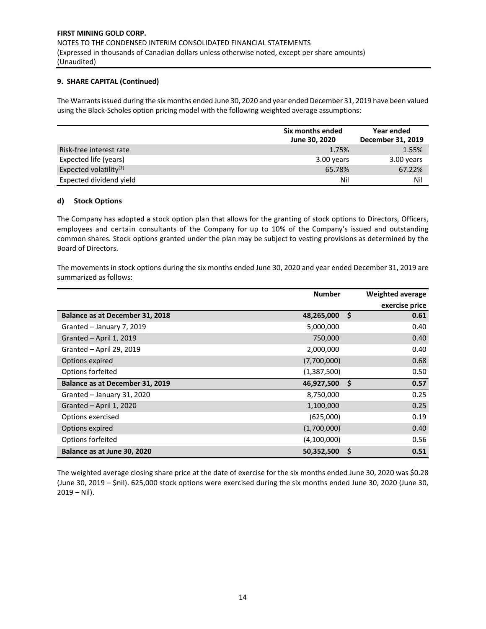The Warrants issued during the six months ended June 30, 2020 and year ended December 31, 2019 have been valued using the Black‐Scholes option pricing model with the following weighted average assumptions:

|                           | Six months ended<br>June 30, 2020 | Year ended<br>December 31, 2019 |
|---------------------------|-----------------------------------|---------------------------------|
| Risk-free interest rate   | 1.75%                             | 1.55%                           |
| Expected life (years)     | 3.00 years                        | 3.00 years                      |
| Expected volatility $(1)$ | 65.78%                            | 67.22%                          |
| Expected dividend yield   | Nil                               | Nil                             |

#### **d) Stock Options**

The Company has adopted a stock option plan that allows for the granting of stock options to Directors, Officers, employees and certain consultants of the Company for up to 10% of the Company's issued and outstanding common shares. Stock options granted under the plan may be subject to vesting provisions as determined by the Board of Directors.

The movements in stock options during the six months ended June 30, 2020 and year ended December 31, 2019 are summarized as follows:

|                                 | <b>Number</b> |     | Weighted average |
|---------------------------------|---------------|-----|------------------|
|                                 |               |     | exercise price   |
| Balance as at December 31, 2018 | 48,265,000    | -S  | 0.61             |
| Granted - January 7, 2019       | 5,000,000     |     | 0.40             |
| Granted - April 1, 2019         | 750,000       |     | 0.40             |
| Granted - April 29, 2019        | 2,000,000     |     | 0.40             |
| Options expired                 | (7,700,000)   |     | 0.68             |
| Options forfeited               | (1,387,500)   |     | 0.50             |
| Balance as at December 31, 2019 | 46,927,500    | -\$ | 0.57             |
| Granted - January 31, 2020      | 8,750,000     |     | 0.25             |
| Granted - April 1, 2020         | 1,100,000     |     | 0.25             |
| Options exercised               | (625,000)     |     | 0.19             |
| Options expired                 | (1,700,000)   |     | 0.40             |
| Options forfeited               | (4,100,000)   |     | 0.56             |
| Balance as at June 30, 2020     | 50,352,500    | S   | 0.51             |

The weighted average closing share price at the date of exercise for the six months ended June 30, 2020 was \$0.28 (June 30, 2019 – \$nil). 625,000 stock options were exercised during the six months ended June 30, 2020 (June 30,  $2019 - Nil$ ).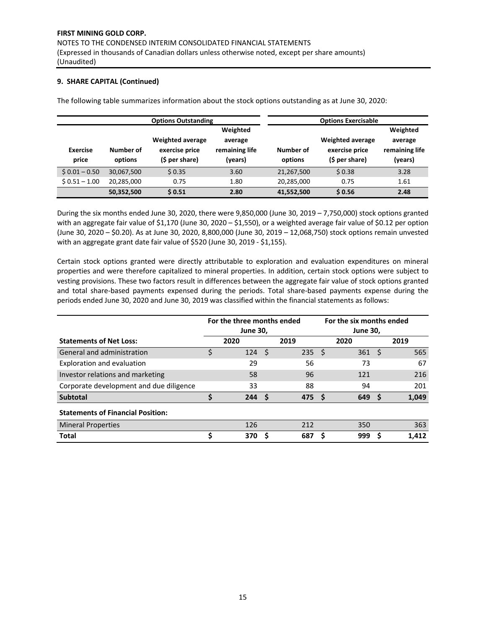The following table summarizes information about the stock options outstanding as at June 30, 2020:

|                          |                      | <b>Options Outstanding</b>                                  |                                      | <b>Options Exercisable</b> |                                                             |                                      |
|--------------------------|----------------------|-------------------------------------------------------------|--------------------------------------|----------------------------|-------------------------------------------------------------|--------------------------------------|
|                          |                      |                                                             | Weighted                             |                            |                                                             | Weighted                             |
| <b>Exercise</b><br>price | Number of<br>options | <b>Weighted average</b><br>exercise price<br>(\$ per share) | average<br>remaining life<br>(years) | Number of<br>options       | <b>Weighted average</b><br>exercise price<br>(\$ per share) | average<br>remaining life<br>(years) |
| $$0.01 - 0.50$           | 30,067,500           | \$0.35                                                      | 3.60                                 | 21,267,500                 | \$0.38                                                      | 3.28                                 |
| $$0.51 - 1.00$           | 20,285,000           | 0.75                                                        | 1.80                                 | 20,285,000                 | 0.75                                                        | 1.61                                 |
|                          | 50,352,500           | \$0.51                                                      | 2.80                                 | 41,552,500                 | \$0.56                                                      | 2.48                                 |

During the six months ended June 30, 2020, there were 9,850,000 (June 30, 2019 – 7,750,000) stock options granted with an aggregate fair value of \$1,170 (June 30, 2020 – \$1,550), or a weighted average fair value of \$0.12 per option (June 30, 2020 – \$0.20). As at June 30, 2020, 8,800,000 (June 30, 2019 – 12,068,750) stock options remain unvested with an aggregate grant date fair value of \$520 (June 30, 2019 ‐ \$1,155).

Certain stock options granted were directly attributable to exploration and evaluation expenditures on mineral properties and were therefore capitalized to mineral properties. In addition, certain stock options were subject to vesting provisions. These two factors result in differences between the aggregate fair value of stock options granted and total share-based payments expensed during the periods. Total share-based payments expense during the periods ended June 30, 2020 and June 30, 2019 was classified within the financial statements as follows:

|                                          | For the three months ended<br>For the six months ended<br><b>June 30,</b> |                |   |                  |    |                         |     |       |
|------------------------------------------|---------------------------------------------------------------------------|----------------|---|------------------|----|-------------------------|-----|-------|
| <b>Statements of Net Loss:</b>           |                                                                           | 2020           |   | 2019             |    | <b>June 30,</b><br>2020 |     | 2019  |
| General and administration               |                                                                           | $124 \quad$ \$ |   | 235              | Ŝ. | 361                     | - S | 565   |
| Exploration and evaluation               |                                                                           | 29             |   | 56               |    | 73                      |     | 67    |
| Investor relations and marketing         |                                                                           | 58             |   | 96               |    | 121                     |     | 216   |
| Corporate development and due diligence  |                                                                           | 33             |   | 88               |    | 94                      |     | 201   |
| <b>Subtotal</b>                          |                                                                           | 244S           |   | 475 <sup>5</sup> |    | 649                     | -S  | 1,049 |
| <b>Statements of Financial Position:</b> |                                                                           |                |   |                  |    |                         |     |       |
| <b>Mineral Properties</b>                |                                                                           | 126            |   | 212              |    | 350                     |     | 363   |
| <b>Total</b>                             |                                                                           | 370            | S | 687              |    | 999                     |     | 1,412 |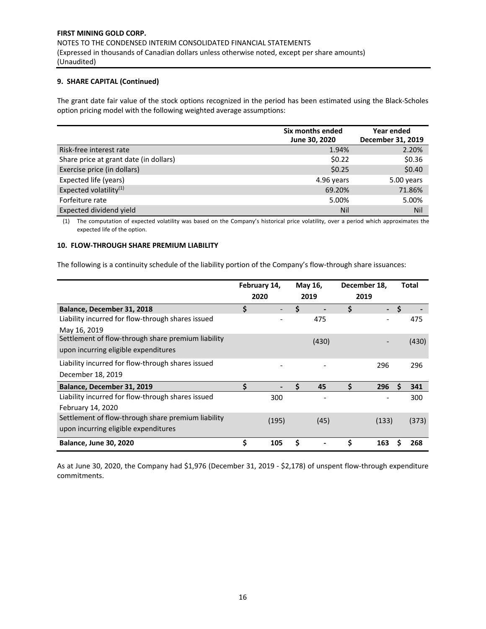The grant date fair value of the stock options recognized in the period has been estimated using the Black‐Scholes option pricing model with the following weighted average assumptions:

|                                        | Six months ended<br>June 30, 2020 | Year ended<br>December 31, 2019 |
|----------------------------------------|-----------------------------------|---------------------------------|
| Risk-free interest rate                | 1.94%                             | 2.20%                           |
| Share price at grant date (in dollars) | \$0.22                            | \$0.36                          |
| Exercise price (in dollars)            | \$0.25                            | \$0.40                          |
| Expected life (years)                  | 4.96 years                        | 5.00 years                      |
| Expected volatility <sup>(1)</sup>     | 69.20%                            | 71.86%                          |
| Forfeiture rate                        | 5.00%                             | 5.00%                           |
| Expected dividend yield                | Nil                               | Nil                             |

(1) The computation of expected volatility was based on the Company's historical price volatility, over a period which approximates the expected life of the option.

#### **10. FLOW‐THROUGH SHARE PREMIUM LIABILITY**

The following is a continuity schedule of the liability portion of the Company's flow‐through share issuances:

|                                                    |    | February 14,<br>2020 | May 16,<br>2019 |    | December 18,<br>2019 |     | <b>Total</b> |
|----------------------------------------------------|----|----------------------|-----------------|----|----------------------|-----|--------------|
| Balance, December 31, 2018                         | \$ |                      | \$              | \$ | $\sim$               | . Ś |              |
| Liability incurred for flow-through shares issued  |    |                      | 475             |    |                      |     | 475          |
| May 16, 2019                                       |    |                      |                 |    |                      |     |              |
| Settlement of flow-through share premium liability |    |                      | (430)           |    |                      |     | (430)        |
| upon incurring eligible expenditures               |    |                      |                 |    |                      |     |              |
| Liability incurred for flow-through shares issued  |    |                      |                 |    | 296                  |     | 296          |
| December 18, 2019                                  |    |                      |                 |    |                      |     |              |
| Balance, December 31, 2019                         | Ś  |                      | \$<br>45        | Ś  | 296                  | Ś   | 341          |
| Liability incurred for flow-through shares issued  |    | 300                  |                 |    |                      |     | 300          |
| February 14, 2020                                  |    |                      |                 |    |                      |     |              |
| Settlement of flow-through share premium liability |    | (195)                | (45)            |    | (133)                |     | (373)        |
| upon incurring eligible expenditures               |    |                      |                 |    |                      |     |              |
| <b>Balance, June 30, 2020</b>                      | \$ | 105                  | \$              |    | 163                  |     | 268          |

As at June 30, 2020, the Company had \$1,976 (December 31, 2019 ‐ \$2,178) of unspent flow‐through expenditure commitments.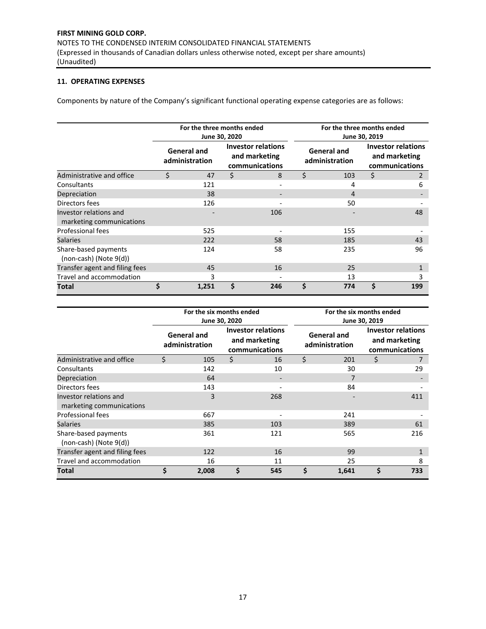# **11. OPERATING EXPENSES**

Components by nature of the Company's significant functional operating expense categories are as follows:

|                                                     |                                      | For the three months ended | June 30, 2020                                                |     |                                      | For the three months ended<br>June 30, 2019 |                                                              |                |  |  |
|-----------------------------------------------------|--------------------------------------|----------------------------|--------------------------------------------------------------|-----|--------------------------------------|---------------------------------------------|--------------------------------------------------------------|----------------|--|--|
|                                                     | <b>General and</b><br>administration |                            | <b>Investor relations</b><br>and marketing<br>communications |     | <b>General and</b><br>administration |                                             | <b>Investor relations</b><br>and marketing<br>communications |                |  |  |
| Administrative and office                           | Ś                                    | 47                         | \$                                                           | 8   | \$                                   | 103                                         | \$                                                           | $\overline{2}$ |  |  |
| Consultants                                         |                                      | 121                        |                                                              |     |                                      | 4                                           |                                                              | 6              |  |  |
| Depreciation                                        |                                      | 38                         |                                                              |     |                                      | 4                                           |                                                              |                |  |  |
| Directors fees                                      |                                      | 126                        |                                                              |     |                                      | 50                                          |                                                              |                |  |  |
| Investor relations and<br>marketing communications  |                                      |                            |                                                              | 106 |                                      |                                             |                                                              | 48             |  |  |
| Professional fees                                   |                                      | 525                        |                                                              |     |                                      | 155                                         |                                                              |                |  |  |
| <b>Salaries</b>                                     |                                      | 222                        |                                                              | 58  |                                      | 185                                         |                                                              | 43             |  |  |
| Share-based payments<br>$(non-cash)$ (Note $9(d)$ ) |                                      | 124                        |                                                              | 58  |                                      | 235                                         |                                                              | 96             |  |  |
| Transfer agent and filing fees                      |                                      | 45                         |                                                              | 16  |                                      | 25                                          |                                                              | 1              |  |  |
| Travel and accommodation                            |                                      | 3                          |                                                              |     |                                      | 13                                          |                                                              | 3              |  |  |
| Total                                               | \$                                   | 1,251                      | Ś                                                            | 246 | Ś                                    | 774                                         | Ś                                                            | 199            |  |  |

|                                                     |                                      | For the six months ended | June 30, 2020                                                |     | For the six months ended<br>June 30, 2019 |                                      |                                                              |     |  |
|-----------------------------------------------------|--------------------------------------|--------------------------|--------------------------------------------------------------|-----|-------------------------------------------|--------------------------------------|--------------------------------------------------------------|-----|--|
|                                                     | <b>General and</b><br>administration |                          | <b>Investor relations</b><br>and marketing<br>communications |     |                                           | <b>General and</b><br>administration | <b>Investor relations</b><br>and marketing<br>communications |     |  |
| Administrative and office                           | \$                                   | 105                      | \$                                                           | 16  | \$                                        | 201                                  | \$                                                           |     |  |
| Consultants                                         |                                      | 142                      |                                                              | 10  |                                           | 30                                   |                                                              | 29  |  |
| Depreciation                                        |                                      | 64                       |                                                              |     |                                           | 7                                    |                                                              |     |  |
| Directors fees                                      |                                      | 143                      |                                                              |     |                                           | 84                                   |                                                              |     |  |
| Investor relations and<br>marketing communications  |                                      | 3                        |                                                              | 268 |                                           |                                      |                                                              | 411 |  |
| Professional fees                                   |                                      | 667                      |                                                              |     |                                           | 241                                  |                                                              |     |  |
| <b>Salaries</b>                                     |                                      | 385                      |                                                              | 103 |                                           | 389                                  |                                                              | 61  |  |
| Share-based payments<br>$(non-cash)$ (Note $9(d)$ ) |                                      | 361                      |                                                              | 121 |                                           | 565                                  |                                                              | 216 |  |
| Transfer agent and filing fees                      |                                      | 122                      |                                                              | 16  |                                           | 99                                   |                                                              |     |  |
| Travel and accommodation                            |                                      | 16                       |                                                              | 11  |                                           | 25                                   |                                                              | 8   |  |
| Total                                               | Ś.                                   | 2,008                    | Ś                                                            | 545 | \$                                        | 1,641                                | \$                                                           | 733 |  |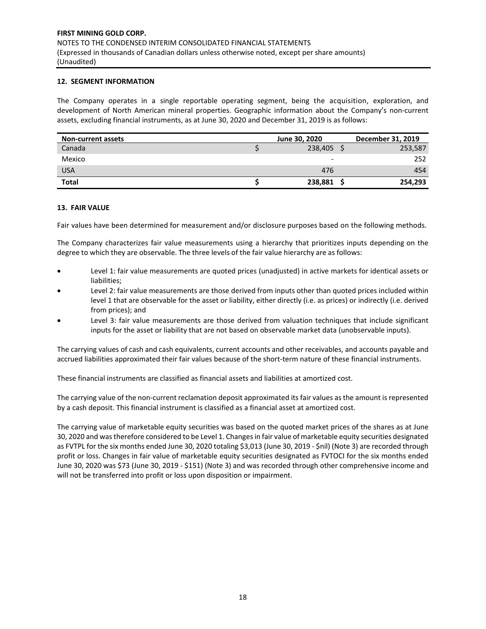#### **12. SEGMENT INFORMATION**

The Company operates in a single reportable operating segment, being the acquisition, exploration, and development of North American mineral properties. Geographic information about the Company's non‐current assets, excluding financial instruments, as at June 30, 2020 and December 31, 2019 is as follows:

| <b>Non-current assets</b> | June 30, 2020 | December 31, 2019 |
|---------------------------|---------------|-------------------|
| Canada                    | 238,405       | 253,587           |
| Mexico                    |               | 252               |
| <b>USA</b>                | 476           | 454               |
| <b>Total</b>              | 238,881       | 254,293           |

#### **13. FAIR VALUE**

Fair values have been determined for measurement and/or disclosure purposes based on the following methods.

The Company characterizes fair value measurements using a hierarchy that prioritizes inputs depending on the degree to which they are observable. The three levels of the fair value hierarchy are as follows:

- Level 1: fair value measurements are quoted prices (unadjusted) in active markets for identical assets or liabilities;
- Level 2: fair value measurements are those derived from inputs other than quoted prices included within level 1 that are observable for the asset or liability, either directly (i.e. as prices) or indirectly (i.e. derived from prices); and
- Level 3: fair value measurements are those derived from valuation techniques that include significant inputs for the asset or liability that are not based on observable market data (unobservable inputs).

The carrying values of cash and cash equivalents, current accounts and other receivables, and accounts payable and accrued liabilities approximated their fair values because of the short-term nature of these financial instruments.

These financial instruments are classified as financial assets and liabilities at amortized cost.

The carrying value of the non-current reclamation deposit approximated its fair values as the amount is represented by a cash deposit. This financial instrument is classified as a financial asset at amortized cost.

The carrying value of marketable equity securities was based on the quoted market prices of the shares as at June 30, 2020 and was therefore considered to be Level 1. Changes in fair value of marketable equity securities designated as FVTPL for the six months ended June 30, 2020 totaling \$3,013 (June 30, 2019 ‐ \$nil) (Note 3) are recorded through profit or loss. Changes in fair value of marketable equity securities designated as FVTOCI for the six months ended June 30, 2020 was \$73 (June 30, 2019 ‐ \$151) (Note 3) and was recorded through other comprehensive income and will not be transferred into profit or loss upon disposition or impairment.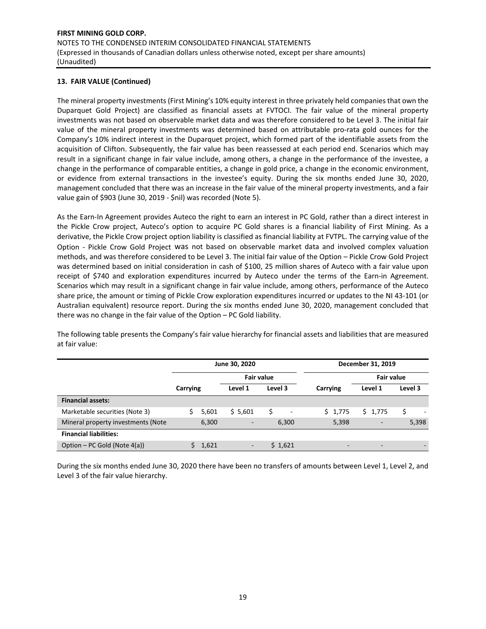# **13. FAIR VALUE (Continued)**

The mineral property investments (First Mining's 10% equity interest in three privately held companies that own the Duparquet Gold Project) are classified as financial assets at FVTOCI. The fair value of the mineral property investments was not based on observable market data and was therefore considered to be Level 3. The initial fair value of the mineral property investments was determined based on attributable pro‐rata gold ounces for the Company's 10% indirect interest in the Duparquet project, which formed part of the identifiable assets from the acquisition of Clifton. Subsequently, the fair value has been reassessed at each period end. Scenarios which may result in a significant change in fair value include, among others, a change in the performance of the investee, a change in the performance of comparable entities, a change in gold price, a change in the economic environment, or evidence from external transactions in the investee's equity. During the six months ended June 30, 2020, management concluded that there was an increase in the fair value of the mineral property investments, and a fair value gain of \$903 (June 30, 2019 ‐ \$nil) was recorded (Note 5).

As the Earn‐In Agreement provides Auteco the right to earn an interest in PC Gold, rather than a direct interest in the Pickle Crow project, Auteco's option to acquire PC Gold shares is a financial liability of First Mining. As a derivative, the Pickle Crow project option liability is classified as financial liability at FVTPL. The carrying value of the Option - Pickle Crow Gold Project was not based on observable market data and involved complex valuation methods, and was therefore considered to be Level 3. The initial fair value of the Option – Pickle Crow Gold Project was determined based on initial consideration in cash of \$100, 25 million shares of Auteco with a fair value upon receipt of \$740 and exploration expenditures incurred by Auteco under the terms of the Earn-in Agreement. Scenarios which may result in a significant change in fair value include, among others, performance of the Auteco share price, the amount or timing of Pickle Crow exploration expenditures incurred or updates to the NI 43‐101 (or Australian equivalent) resource report. During the six months ended June 30, 2020, management concluded that there was no change in the fair value of the Option – PC Gold liability.

The following table presents the Company's fair value hierarchy for financial assets and liabilities that are measured at fair value:

|                                    |          | June 30, 2020            |                   |                          | December 31, 2019        |         |
|------------------------------------|----------|--------------------------|-------------------|--------------------------|--------------------------|---------|
|                                    |          |                          | <b>Fair value</b> |                          | <b>Fair value</b>        |         |
|                                    | Carrying | Level 1                  | Level 3           | Carrying                 | Level 1                  | Level 3 |
| <b>Financial assets:</b>           |          |                          |                   |                          |                          |         |
| Marketable securities (Note 3)     | 5,601    | \$5,601                  | Ś                 | \$1,775                  | \$1,775                  | Ś       |
| Mineral property investments (Note | 6,300    | $\overline{\phantom{a}}$ | 6,300             | 5,398                    | $\overline{\phantom{a}}$ | 5,398   |
| <b>Financial liabilities:</b>      |          |                          |                   |                          |                          |         |
| Option – PC Gold (Note 4(a))       | 1,621    | -                        | \$1,621           | $\overline{\phantom{0}}$ | $\overline{\phantom{0}}$ |         |

During the six months ended June 30, 2020 there have been no transfers of amounts between Level 1, Level 2, and Level 3 of the fair value hierarchy.